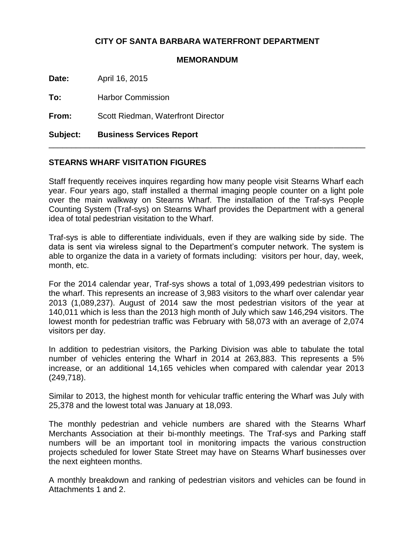# **CITY OF SANTA BARBARA WATERFRONT DEPARTMENT**

#### **MEMORANDUM**

**Date:** April 16, 2015

**To:** Harbor Commission

**From:** Scott Riedman, Waterfront Director

**Subject: Business Services Report**

## **STEARNS WHARF VISITATION FIGURES**

Staff frequently receives inquires regarding how many people visit Stearns Wharf each year. Four years ago, staff installed a thermal imaging people counter on a light pole over the main walkway on Stearns Wharf. The installation of the Traf-sys People Counting System (Traf-sys) on Stearns Wharf provides the Department with a general idea of total pedestrian visitation to the Wharf.

\_\_\_\_\_\_\_\_\_\_\_\_\_\_\_\_\_\_\_\_\_\_\_\_\_\_\_\_\_\_\_\_\_\_\_\_\_\_\_\_\_\_\_\_\_\_\_\_\_\_\_\_\_\_\_\_\_\_\_\_\_\_\_\_\_\_\_\_\_\_

Traf-sys is able to differentiate individuals, even if they are walking side by side. The data is sent via wireless signal to the Department's computer network. The system is able to organize the data in a variety of formats including: visitors per hour, day, week, month, etc.

For the 2014 calendar year, Traf-sys shows a total of 1,093,499 pedestrian visitors to the wharf. This represents an increase of 3,983 visitors to the wharf over calendar year 2013 (1,089,237). August of 2014 saw the most pedestrian visitors of the year at 140,011 which is less than the 2013 high month of July which saw 146,294 visitors. The lowest month for pedestrian traffic was February with 58,073 with an average of 2,074 visitors per day.

In addition to pedestrian visitors, the Parking Division was able to tabulate the total number of vehicles entering the Wharf in 2014 at 263,883. This represents a 5% increase, or an additional 14,165 vehicles when compared with calendar year 2013 (249,718).

Similar to 2013, the highest month for vehicular traffic entering the Wharf was July with 25,378 and the lowest total was January at 18,093.

The monthly pedestrian and vehicle numbers are shared with the Stearns Wharf Merchants Association at their bi-monthly meetings. The Traf-sys and Parking staff numbers will be an important tool in monitoring impacts the various construction projects scheduled for lower State Street may have on Stearns Wharf businesses over the next eighteen months.

A monthly breakdown and ranking of pedestrian visitors and vehicles can be found in Attachments 1 and 2.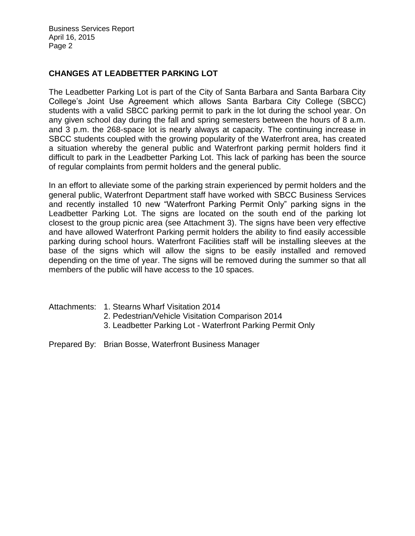Business Services Report April 16, 2015 Page 2

# **CHANGES AT LEADBETTER PARKING LOT**

The Leadbetter Parking Lot is part of the City of Santa Barbara and Santa Barbara City College's Joint Use Agreement which allows Santa Barbara City College (SBCC) students with a valid SBCC parking permit to park in the lot during the school year. On any given school day during the fall and spring semesters between the hours of 8 a.m. and 3 p.m. the 268-space lot is nearly always at capacity. The continuing increase in SBCC students coupled with the growing popularity of the Waterfront area, has created a situation whereby the general public and Waterfront parking permit holders find it difficult to park in the Leadbetter Parking Lot. This lack of parking has been the source of regular complaints from permit holders and the general public.

In an effort to alleviate some of the parking strain experienced by permit holders and the general public, Waterfront Department staff have worked with SBCC Business Services and recently installed 10 new "Waterfront Parking Permit Only" parking signs in the Leadbetter Parking Lot. The signs are located on the south end of the parking lot closest to the group picnic area (see Attachment 3). The signs have been very effective and have allowed Waterfront Parking permit holders the ability to find easily accessible parking during school hours. Waterfront Facilities staff will be installing sleeves at the base of the signs which will allow the signs to be easily installed and removed depending on the time of year. The signs will be removed during the summer so that all members of the public will have access to the 10 spaces.

- Attachments: 1. Stearns Wharf Visitation 2014
	- 2. Pedestrian/Vehicle Visitation Comparison 2014
	- 3. Leadbetter Parking Lot Waterfront Parking Permit Only
- Prepared By: Brian Bosse, Waterfront Business Manager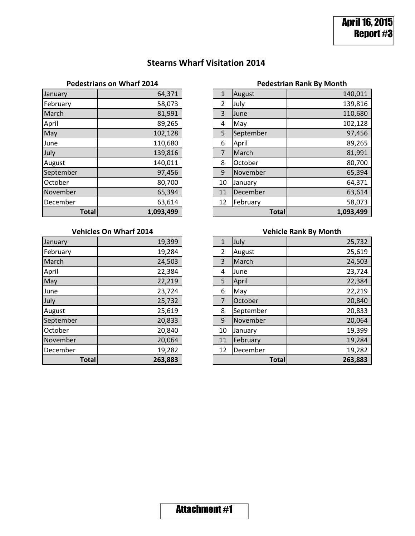# **Stearns Wharf Visitation 2014**

| January      | 64,371    |
|--------------|-----------|
| February     | 58,073    |
| March        | 81,991    |
| April        | 89,265    |
| May          | 102,128   |
| June         | 110,680   |
| July         | 139,816   |
| August       | 140,011   |
| September    | 97,456    |
| October      | 80,700    |
| November     | 65,394    |
| December     | 63,614    |
| <b>Total</b> | 1,093,499 |

### **Vehicles On Wharf 2014**

| <b>Total</b> | 263,883 |
|--------------|---------|
| December     | 19,282  |
| November     | 20,064  |
| October      | 20,840  |
| September    | 20,833  |
| August       | 25,619  |
| July         | 25,732  |
| June         | 23,724  |
| May          | 22,219  |
| April        | 22,384  |
| March        | 24,503  |
| February     | 19,284  |
| January      | 19,399  |

# **Pedestrians on Wharf 2014 Pedestrian Rank By Month**

| <b>Total</b> | 1,093,499 |              | <b>Total</b> | 1,093,499 |
|--------------|-----------|--------------|--------------|-----------|
| December     | 63,614    | 12           | February     | 58,073    |
| November     | 65,394    | 11           | December     | 63,614    |
| October      | 80,700    | 10           | January      | 64,371    |
| September    | 97,456    | 9            | November     | 65,394    |
| August       | 140,011   | 8            | October      | 80,700    |
| July         | 139,816   | 7            | March        | 81,991    |
| June         | 110,680   | 6            | April        | 89,265    |
| May          | 102,128   | 5            | September    | 97,456    |
| April        | 89,265    | 4            | May          | 102,128   |
| March        | 81,991    | 3            | June         | 110,680   |
| February     | 58,073    | 2            | July         | 139,816   |
| January      | 64,371    | $\mathbf{1}$ | August       | 140,011   |

# **Vehicle Rank By Month**

| January      | 19,399  | 1  | July         | 25,732  |
|--------------|---------|----|--------------|---------|
| February     | 19,284  | 2  | August       | 25,619  |
| March        | 24,503  | 3  | March        | 24,503  |
| April        | 22,384  | 4  | June         | 23,724  |
| May          | 22,219  | 5  | April        | 22,384  |
| June         | 23,724  | 6  | May          | 22,219  |
| July         | 25,732  | 7  | October      | 20,840  |
| August       | 25,619  | 8  | September    | 20,833  |
| September    | 20,833  | 9  | November     | 20,064  |
| October      | 20,840  | 10 | January      | 19,399  |
| November     | 20,064  | 11 | February     | 19,284  |
| December     | 19,282  | 12 | December     | 19,282  |
| <b>Total</b> | 263,883 |    | <b>Total</b> | 263,883 |

# **Attachment #1**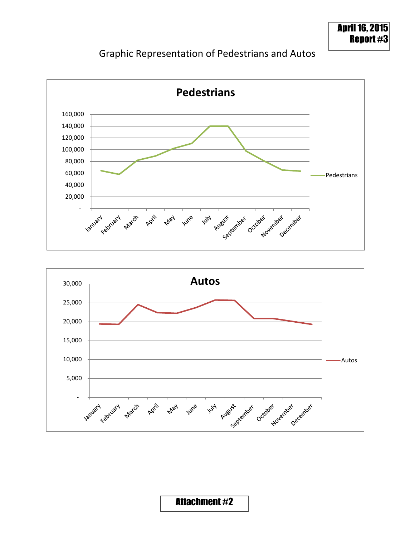# Graphic Representation of Pedestrians and Autos





# **Attachment #2**